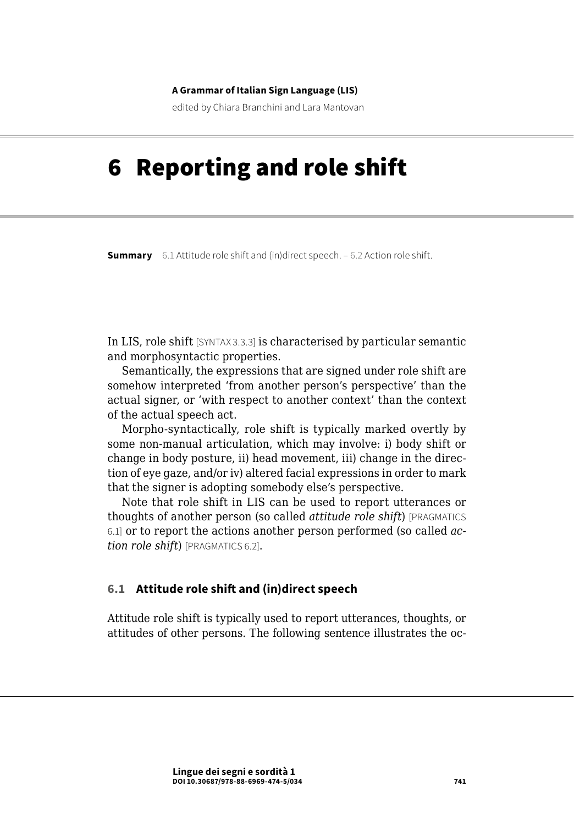#### **A Grammar of Italian Sign Language (LIS)**

edited by Chiara Branchini and Lara Mantovan

# 6 Reporting and role shift

**Summary** 6.1 Attitude role shift and (in)direct speech. – [6.2 Action role shift](#page-1-0).

In LIS, role shift [SYNTAX 3.3.3] is characterised by particular semantic and morphosyntactic properties.

Semantically, the expressions that are signed under role shift are somehow interpreted 'from another person's perspective' than the actual signer, or 'with respect to another context' than the context of the actual speech act.

Morpho-syntactically, role shift is typically marked overtly by some non-manual articulation, which may involve: i) body shift or change in body posture, ii) head movement, iii) change in the direction of eye gaze, and/or iv) altered facial expressions in order to mark that the signer is adopting somebody else's perspective.

Note that role shift in LIS can be used to report utterances or thoughts of another person (so called *attitude role shift*) [PRAGMATICS 6.1] or to report the actions another person performed (so called *action role shift*) [PRAGMATICS 6.2].

### **6.1 Attitude role shift and (in)direct speech**

Attitude role shift is typically used to report utterances, thoughts, or attitudes of other persons. The following sentence illustrates the oc